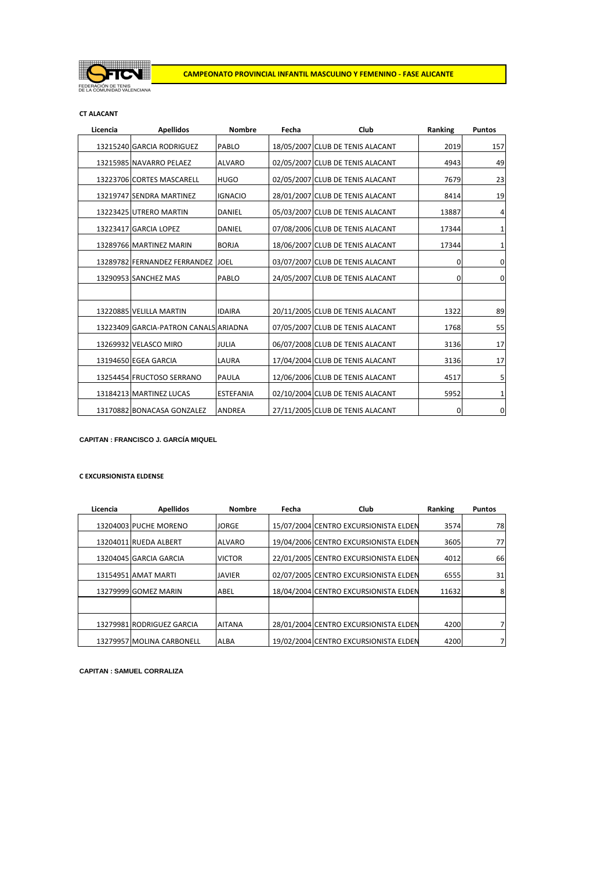

#### **CT ALACANT**

| Licencia | <b>Apellidos</b>                      | <b>Nombre</b>    | Fecha | Club                             | Ranking | <b>Puntos</b> |
|----------|---------------------------------------|------------------|-------|----------------------------------|---------|---------------|
|          | 13215240 GARCIA RODRIGUEZ             | PABLO            |       | 18/05/2007 CLUB DE TENIS ALACANT | 2019    | 157           |
|          | 13215985 NAVARRO PELAEZ               | <b>ALVARO</b>    |       | 02/05/2007 CLUB DE TENIS ALACANT | 4943    | 49            |
|          | 13223706 CORTES MASCARELL             | <b>HUGO</b>      |       | 02/05/2007 CLUB DE TENIS ALACANT | 7679    | 23            |
|          | 13219747 SENDRA MARTINEZ              | <b>IGNACIO</b>   |       | 28/01/2007 CLUB DE TENIS ALACANT | 8414    | 19            |
|          | 13223425 UTRERO MARTIN                | DANIEL           |       | 05/03/2007 CLUB DE TENIS ALACANT | 13887   | 4             |
|          | 13223417 GARCIA LOPEZ                 | DANIEL           |       | 07/08/2006 CLUB DE TENIS ALACANT | 17344   | 1             |
|          | 13289766 MARTINEZ MARIN               | <b>BORJA</b>     |       | 18/06/2007 CLUB DE TENIS ALACANT | 17344   | 1             |
|          | 13289782 FERNANDEZ FERRANDEZ JOEL     |                  |       | 03/07/2007 CLUB DE TENIS ALACANT | 0       | 0             |
|          | 13290953 SANCHEZ MAS                  | PABLO            |       | 24/05/2007 CLUB DE TENIS ALACANT | 0       | 0             |
|          |                                       |                  |       |                                  |         |               |
|          | 13220885 VELILLA MARTIN               | <b>IDAIRA</b>    |       | 20/11/2005 CLUB DE TENIS ALACANT | 1322    | 89            |
|          | 13223409 GARCIA-PATRON CANALS ARIADNA |                  |       | 07/05/2007 CLUB DE TENIS ALACANT | 1768    | 55            |
|          | 13269932 VELASCO MIRO                 | <b>JULIA</b>     |       | 06/07/2008 CLUB DE TENIS ALACANT | 3136    | 17            |
|          | 13194650 EGEA GARCIA                  | LAURA            |       | 17/04/2004 CLUB DE TENIS ALACANT | 3136    | 17            |
|          | 13254454 FRUCTOSO SERRANO             | PAULA            |       | 12/06/2006 CLUB DE TENIS ALACANT | 4517    | 5             |
|          | 13184213 MARTINEZ LUCAS               | <b>ESTEFANIA</b> |       | 02/10/2004 CLUB DE TENIS ALACANT | 5952    | 1             |
|          | 13170882 BONACASA GONZALEZ            | <b>ANDREA</b>    |       | 27/11/2005 CLUB DE TENIS ALACANT | 0       | $\mathbf 0$   |

**CAPITAN : FRANCISCO J. GARCÍA MIQUEL**

## **C EXCURSIONISTA ELDENSE**

| Licencia | <b>Apellidos</b>          | <b>Nombre</b> | Fecha | Club                                  | Ranking | <b>Puntos</b> |
|----------|---------------------------|---------------|-------|---------------------------------------|---------|---------------|
|          | 13204003 PUCHE MORENO     | <b>JORGE</b>  |       | 15/07/2004 CENTRO EXCURSIONISTA ELDEN | 3574    | 78            |
|          | 13204011 RUEDA ALBERT     | <b>ALVARO</b> |       | 19/04/2006 CENTRO EXCURSIONISTA ELDEN | 3605    | 77            |
|          | 13204045 GARCIA GARCIA    | <b>VICTOR</b> |       | 22/01/2005 CENTRO EXCURSIONISTA ELDEN | 4012    | 66            |
|          | 13154951 AMAT MARTI       | <b>JAVIER</b> |       | 02/07/2005 CENTRO EXCURSIONISTA ELDEN | 6555    | 31            |
|          | 13279999 GOMEZ MARIN      | ABEL          |       | 18/04/2004 CENTRO EXCURSIONISTA ELDEN | 11632   | 8             |
|          |                           |               |       |                                       |         |               |
|          | 13279981 RODRIGUEZ GARCIA | <b>AITANA</b> |       | 28/01/2004 CENTRO EXCURSIONISTA ELDEN | 4200    |               |
|          | 13279957 MOLINA CARBONELL | <b>ALBA</b>   |       | 19/02/2004 CENTRO EXCURSIONISTA ELDEN | 4200    |               |

**CAPITAN : SAMUEL CORRALIZA**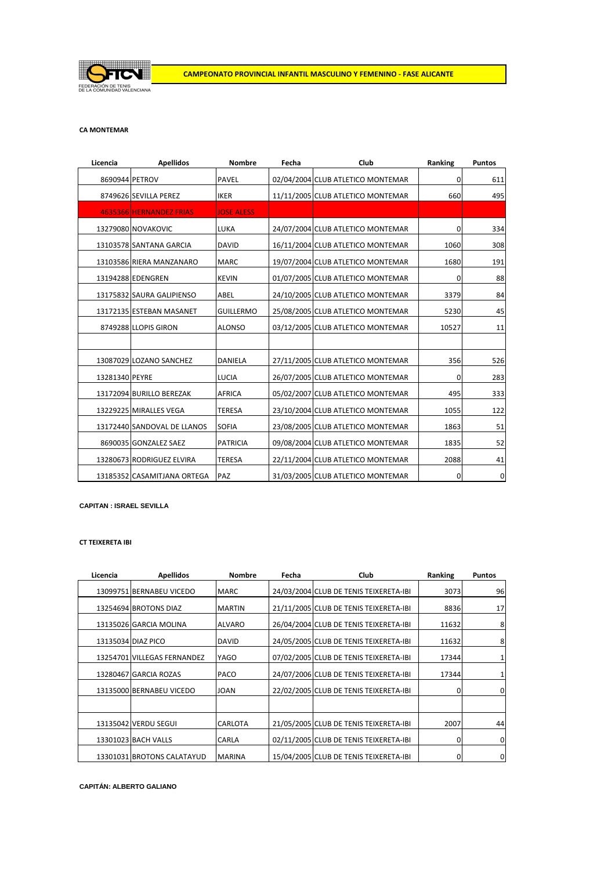

### **CA MONTEMAR**

| Licencia       | <b>Apellidos</b>            | <b>Nombre</b>     | Fecha | Club                              | Ranking | <b>Puntos</b> |
|----------------|-----------------------------|-------------------|-------|-----------------------------------|---------|---------------|
| 8690944 PETROV |                             | PAVEL             |       | 02/04/2004 CLUB ATLETICO MONTEMAR | 0       | 611           |
|                | 8749626 SEVILLA PEREZ       | <b>IKER</b>       |       | 11/11/2005 CLUB ATLETICO MONTEMAR | 660     | 495           |
|                | 4635366 HERNANDEZ FRIAS     | <b>JOSE ALESS</b> |       |                                   |         |               |
|                | 13279080 NOVAKOVIC          | LUKA              |       | 24/07/2004 CLUB ATLETICO MONTEMAR | 0       | 334           |
|                | 13103578 SANTANA GARCIA     | <b>DAVID</b>      |       | 16/11/2004 CLUB ATLETICO MONTEMAR | 1060    | 308           |
|                | 13103586 RIERA MANZANARO    | <b>MARC</b>       |       | 19/07/2004 CLUB ATLETICO MONTEMAR | 1680    | 191           |
|                | 13194288 EDENGREN           | <b>KEVIN</b>      |       | 01/07/2005 CLUB ATLETICO MONTEMAR | 0       | 88            |
|                | 13175832 SAURA GALIPIENSO   | ABEL              |       | 24/10/2005 CLUB ATLETICO MONTEMAR | 3379    | 84            |
|                | 13172135 ESTEBAN MASANET    | <b>GUILLERMO</b>  |       | 25/08/2005 CLUB ATLETICO MONTEMAR | 5230    | 45            |
|                | 8749288 LLOPIS GIRON        | <b>ALONSO</b>     |       | 03/12/2005 CLUB ATLETICO MONTEMAR | 10527   | 11            |
|                |                             |                   |       |                                   |         |               |
|                | 13087029 LOZANO SANCHEZ     | DANIELA           |       | 27/11/2005 CLUB ATLETICO MONTEMAR | 356     | 526           |
| 13281340 PEYRE |                             | LUCIA             |       | 26/07/2005 CLUB ATLETICO MONTEMAR | 0       | 283           |
|                | 13172094 BURILLO BEREZAK    | <b>AFRICA</b>     |       | 05/02/2007 CLUB ATLETICO MONTEMAR | 495     | 333           |
|                | 13229225 MIRALLES VEGA      | <b>TERESA</b>     |       | 23/10/2004 CLUB ATLETICO MONTEMAR | 1055    | 122           |
|                | 13172440 SANDOVAL DE LLANOS | <b>SOFIA</b>      |       | 23/08/2005 CLUB ATLETICO MONTEMAR | 1863    | 51            |
|                | 8690035 GONZALEZ SAEZ       | <b>PATRICIA</b>   |       | 09/08/2004 CLUB ATLETICO MONTEMAR | 1835    | 52            |
|                | 13280673 RODRIGUEZ ELVIRA   | <b>TERESA</b>     |       | 22/11/2004 CLUB ATLETICO MONTEMAR | 2088    | 41            |
|                | 13185352 CASAMITJANA ORTEGA | PAZ               |       | 31/03/2005 CLUB ATLETICO MONTEMAR | 0       | $\mathbf 0$   |

**CAPITAN : ISRAEL SEVILLA**

#### **CT TEIXERETA IBI**

| Licencia | <b>Apellidos</b>            | <b>Nombre</b>  | Fecha | Club                                   | Ranking | <b>Puntos</b> |
|----------|-----------------------------|----------------|-------|----------------------------------------|---------|---------------|
|          | 13099751 BERNABEU VICEDO    | <b>MARC</b>    |       | 24/03/2004 CLUB DE TENIS TEIXERETA-IBI | 3073    | 96            |
|          | 13254694 BROTONS DIAZ       | <b>MARTIN</b>  |       | 21/11/2005 CLUB DE TENIS TEIXERETA-IBI | 8836    | 17            |
|          | 13135026 GARCIA MOLINA      | ALVARO         |       | 26/04/2004 CLUB DE TENIS TEIXERETA-IBI | 11632   | 8             |
|          | 13135034 DIAZ PICO          | <b>DAVID</b>   |       | 24/05/2005 CLUB DE TENIS TEIXERETA-IBI | 11632   | 8             |
|          | 13254701 VILLEGAS FERNANDEZ | YAGO           |       | 07/02/2005 CLUB DE TENIS TEIXERETA-IBI | 17344   |               |
|          | 13280467 GARCIA ROZAS       | PACO           |       | 24/07/2006 CLUB DE TENIS TEIXERETA-IBI | 17344   |               |
|          | 13135000 BERNABEU VICEDO    | <b>JOAN</b>    |       | 22/02/2005 CLUB DE TENIS TEIXERETA-IBI | 0       | 0             |
|          |                             |                |       |                                        |         |               |
|          | 13135042 VERDU SEGUI        | <b>CARLOTA</b> |       | 21/05/2005 CLUB DE TENIS TEIXERETA-IBI | 2007    | 44            |
|          | 13301023 BACH VALLS         | <b>CARLA</b>   |       | 02/11/2005 CLUB DE TENIS TEIXERETA-IBI | 0       | 0             |
|          | 13301031 BROTONS CALATAYUD  | <b>MARINA</b>  |       | 15/04/2005 CLUB DE TENIS TEIXERETA-IBI | 0       | 0             |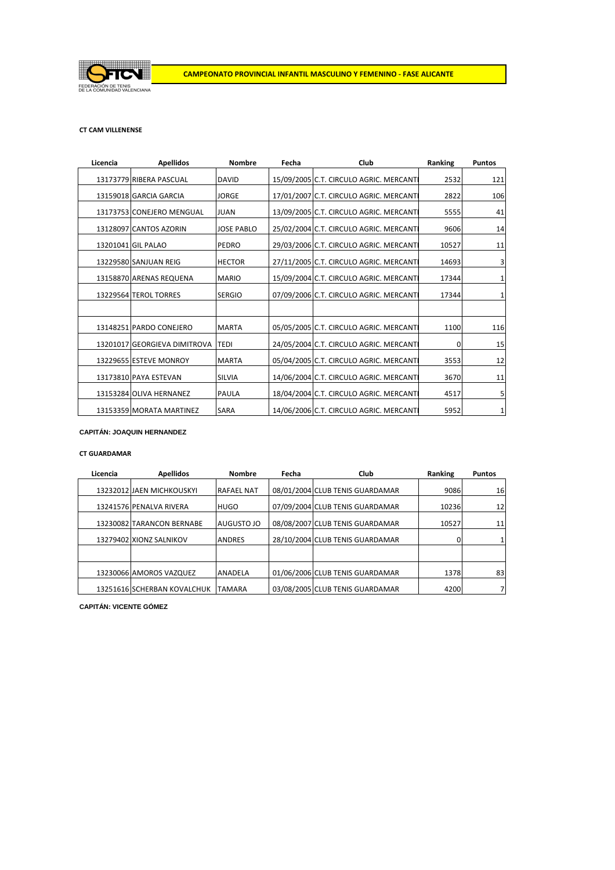

### **CT CAM VILLENENSE**

| Licencia | <b>Apellidos</b>                  | <b>Nombre</b>     | Fecha | Club                                    | Ranking | <b>Puntos</b> |
|----------|-----------------------------------|-------------------|-------|-----------------------------------------|---------|---------------|
|          | 13173779 RIBERA PASCUAL           | <b>DAVID</b>      |       | 15/09/2005 C.T. CIRCULO AGRIC. MERCANTI | 2532    | 121           |
|          | 13159018 GARCIA GARCIA            | <b>JORGE</b>      |       | 17/01/2007 C.T. CIRCULO AGRIC. MERCANTI | 2822    | 106           |
|          | 13173753 CONEJERO MENGUAL         | <b>JUAN</b>       |       | 13/09/2005 C.T. CIRCULO AGRIC. MERCANTI | 5555    | 41            |
|          | 13128097 CANTOS AZORIN            | <b>JOSE PABLO</b> |       | 25/02/2004 C.T. CIRCULO AGRIC. MERCANTI | 9606    | 14            |
|          | 13201041 GIL PALAO                | PEDRO             |       | 29/03/2006 C.T. CIRCULO AGRIC. MERCANTI | 10527   | 11            |
|          | 13229580 SANJUAN REIG             | <b>HECTOR</b>     |       | 27/11/2005 C.T. CIRCULO AGRIC. MERCANTI | 14693   | 3             |
|          | 13158870 ARENAS REQUENA           | <b>MARIO</b>      |       | 15/09/2004 C.T. CIRCULO AGRIC. MERCANTI | 17344   |               |
|          | 13229564 TEROL TORRES             | <b>SERGIO</b>     |       | 07/09/2006 C.T. CIRCULO AGRIC. MERCANTI | 17344   | 1             |
|          |                                   |                   |       |                                         |         |               |
|          | 13148251 PARDO CONEJERO           | <b>MARTA</b>      |       | 05/05/2005 C.T. CIRCULO AGRIC. MERCANTI | 1100    | 116           |
|          | 13201017 GEORGIEVA DIMITROVA TEDI |                   |       | 24/05/2004 C.T. CIRCULO AGRIC. MERCANTI | 0       | 15            |
|          | 13229655 ESTEVE MONROY            | <b>MARTA</b>      |       | 05/04/2005 C.T. CIRCULO AGRIC. MERCANTI | 3553    | 12            |
|          | 13173810 PAYA ESTEVAN             | <b>SILVIA</b>     |       | 14/06/2004 C.T. CIRCULO AGRIC. MERCANTI | 3670    | 11            |
|          | 13153284 OLIVA HERNANEZ           | <b>PAULA</b>      |       | 18/04/2004 C.T. CIRCULO AGRIC. MERCANTI | 4517    | 5             |
|          | 13153359 MORATA MARTINEZ          | <b>SARA</b>       |       | 14/06/2006 C.T. CIRCULO AGRIC. MERCANTI | 5952    | 1             |

### **CAPITÁN: JOAQUIN HERNANDEZ**

### **CT GUARDAMAR**

| Licencia | <b>Apellidos</b>            | <b>Nombre</b>     | Fecha | Club                            | Ranking | <b>Puntos</b> |
|----------|-----------------------------|-------------------|-------|---------------------------------|---------|---------------|
|          | 13232012 JAEN MICHKOUSKYI   | <b>RAFAEL NAT</b> |       | 08/01/2004 CLUB TENIS GUARDAMAR | 9086    | 16            |
|          | 13241576 PENALVA RIVERA     | <b>HUGO</b>       |       | 07/09/2004 CLUB TENIS GUARDAMAR | 10236   | 12            |
|          | 13230082 TARANCON BERNABE   | <b>AUGUSTO JO</b> |       | 08/08/2007 CLUB TENIS GUARDAMAR | 10527   | 11            |
|          | 13279402 XIONZ SALNIKOV     | <b>ANDRES</b>     |       | 28/10/2004 CLUB TENIS GUARDAMAR |         |               |
|          |                             |                   |       |                                 |         |               |
|          | 13230066 AMOROS VAZQUEZ     | <b>ANADELA</b>    |       | 01/06/2006 CLUB TENIS GUARDAMAR | 1378    | 83            |
|          | 13251616 SCHERBAN KOVALCHUK | <b>TAMARA</b>     |       | 03/08/2005 CLUB TENIS GUARDAMAR | 4200    |               |

**CAPITÁN: VICENTE GÓMEZ**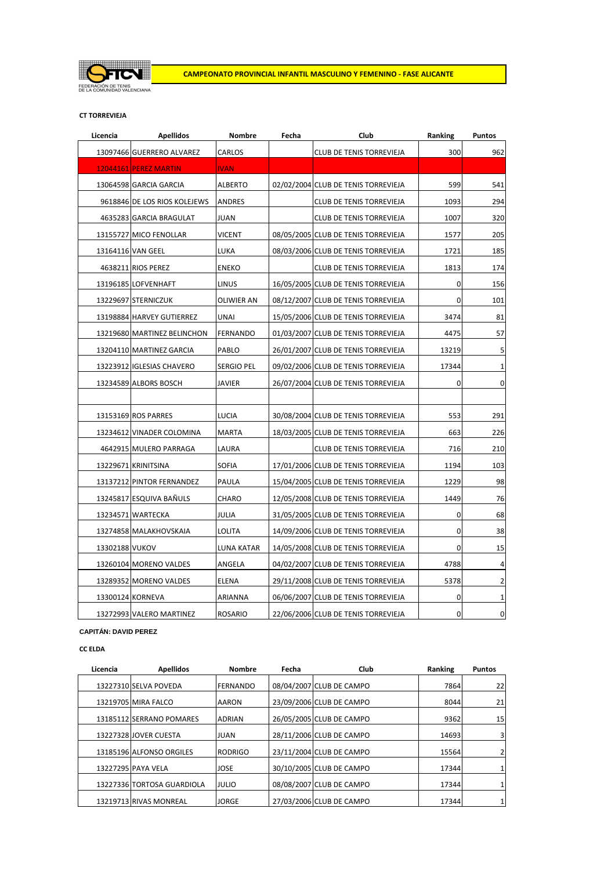

### **CT TORREVIEJA**

| Licencia       | <b>Apellidos</b>             | Nombre          | Fecha | Club                                | Ranking   | Puntos         |
|----------------|------------------------------|-----------------|-------|-------------------------------------|-----------|----------------|
|                | 13097466 GUERRERO ALVAREZ    | CARLOS          |       | CLUB DE TENIS TORREVIEJA            | 300       | 962            |
|                | <b>12044161 PEREZ MARTIN</b> | <b>IVAN</b>     |       |                                     |           |                |
|                | 13064598 GARCIA GARCIA       | <b>ALBERTO</b>  |       | 02/02/2004 CLUB DE TENIS TORREVIEJA | 599       | 541            |
|                | 9618846 DE LOS RIOS KOLEJEWS | <b>ANDRES</b>   |       | CLUB DE TENIS TORREVIEJA            | 1093      | 294            |
|                | 4635283 GARCIA BRAGULAT      | <b>JUAN</b>     |       | CLUB DE TENIS TORREVIEJA            | 1007      | 320            |
|                | 13155727 MICO FENOLLAR       | VICENT          |       | 08/05/2005 CLUB DE TENIS TORREVIEJA | 1577      | 205            |
|                | 13164116 VAN GEEL            | LUKA            |       | 08/03/2006 CLUB DE TENIS TORREVIEJA | 1721      | 185            |
|                | 4638211 RIOS PEREZ           | ENEKO           |       | CLUB DE TENIS TORREVIEJA            | 1813      | 174            |
|                | 13196185 LOFVENHAFT          | LINUS           |       | 16/05/2005 CLUB DE TENIS TORREVIEJA | 0         | 156            |
|                | 13229697 STERNICZUK          | OLIWIER AN      |       | 08/12/2007 CLUB DE TENIS TORREVIEJA | 0         | 101            |
|                | 13198884 HARVEY GUTIERREZ    | <b>UNAI</b>     |       | 15/05/2006 CLUB DE TENIS TORREVIEJA | 3474      | 81             |
|                | 13219680 MARTINEZ BELINCHON  | <b>FERNANDO</b> |       | 01/03/2007 CLUB DE TENIS TORREVIEJA | 4475      | 57             |
|                | 13204110 MARTINEZ GARCIA     | PABLO           |       | 26/01/2007 CLUB DE TENIS TORREVIEJA | 13219     | 5              |
|                | 13223912 IGLESIAS CHAVERO    | Sergio pel      |       | 09/02/2006 CLUB DE TENIS TORREVIEJA | 17344     | 1              |
|                | 13234589 ALBORS BOSCH        | <b>JAVIER</b>   |       | 26/07/2004 CLUB DE TENIS TORREVIEJA | 0         | $\mathbf 0$    |
|                |                              |                 |       |                                     |           |                |
|                | 13153169 ROS PARRES          | LUCIA           |       | 30/08/2004 CLUB DE TENIS TORREVIEJA | 553       | 291            |
|                | 13234612 VINADER COLOMINA    | <b>MARTA</b>    |       | 18/03/2005 CLUB DE TENIS TORREVIEJA | 663       | 226            |
|                | 4642915 MULERO PARRAGA       | LAURA           |       | CLUB DE TENIS TORREVIEJA            | 716       | 210            |
|                | 13229671 KRINITSINA          | <b>SOFIA</b>    |       | 17/01/2006 CLUB DE TENIS TORREVIEJA | 1194      | 103            |
|                | 13137212 PINTOR FERNANDEZ    | PAULA           |       | 15/04/2005 CLUB DE TENIS TORREVIEJA | 1229      | 98             |
|                | 13245817 ESQUIVA BAÑULS      | CHARO           |       | 12/05/2008 CLUB DE TENIS TORREVIEJA | 1449      | 76             |
|                | 13234571 WARTECKA            | JULIA           |       | 31/05/2005 CLUB DE TENIS TORREVIEJA | $\pmb{0}$ | 68             |
|                | 13274858 MALAKHOVSKAIA       | <b>LOLITA</b>   |       | 14/09/2006 CLUB DE TENIS TORREVIEJA | 0         | 38             |
| 13302188 VUKOV |                              | LUNA KATAR      |       | 14/05/2008 CLUB DE TENIS TORREVIEJA | 0         | 15             |
|                | 13260104 MORENO VALDES       | ANGELA          |       | 04/02/2007 CLUB DE TENIS TORREVIEJA | 4788      | 4              |
|                | 13289352 MORENO VALDES       | <b>ELENA</b>    |       | 29/11/2008 CLUB DE TENIS TORREVIEJA | 5378      | $\overline{2}$ |
|                | 13300124 KORNEVA             | ARIANNA         |       | 06/06/2007 CLUB DE TENIS TORREVIEJA | 0         | 1              |
|                | 13272993 VALERO MARTINEZ     | <b>ROSARIO</b>  |       | 22/06/2006 CLUB DE TENIS TORREVIEJA | 0         | $\pmb{0}$      |

**CAPITÁN: DAVID PEREZ**

**CC ELDA**

| Licencia | <b>Apellidos</b>           | <b>Nombre</b>   | Fecha | Club                     | Ranking | <b>Puntos</b> |
|----------|----------------------------|-----------------|-------|--------------------------|---------|---------------|
|          | 13227310 SELVA POVEDA      | <b>FERNANDO</b> |       | 08/04/2007 CLUB DE CAMPO | 7864    | 22            |
|          | 13219705 MIRA FALCO        | <b>AARON</b>    |       | 23/09/2006 CLUB DE CAMPO | 8044    | 21            |
|          | 13185112 SERRANO POMARES   | <b>ADRIAN</b>   |       | 26/05/2005 CLUB DE CAMPO | 9362    | 15            |
|          | 13227328 JOVER CUESTA      | <b>JUAN</b>     |       | 28/11/2006 CLUB DE CAMPO | 14693   | 3             |
|          | 13185196 ALFONSO ORGILES   | <b>RODRIGO</b>  |       | 23/11/2004 CLUB DE CAMPO | 15564   |               |
|          | 13227295 PAYA VELA         | <b>JOSE</b>     |       | 30/10/2005 CLUB DE CAMPO | 17344   |               |
|          | 13227336 TORTOSA GUARDIOLA | <b>JULIO</b>    |       | 08/08/2007 CLUB DE CAMPO | 17344   |               |
|          | 13219713 RIVAS MONREAL     | <b>JORGE</b>    |       | 27/03/2006 CLUB DE CAMPO | 17344   |               |